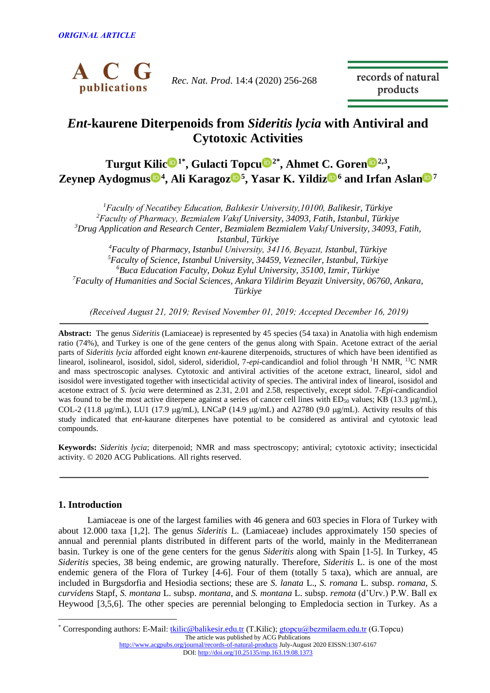

*Rec. Nat. Prod*. 14:4 (2020) 256-268

records of natural products

# *Ent-***kaurene Diterpenoids from** *Sideritis lycia* **with Antiviral and Cytotoxic Activities**

**Turgut Kili[c](https://orcid.org/0000-0002-6842-3160)<s[u](https://orcid.org/0000-0002-7946-6545)p>®1\*</sup>, Gulacti Topcu<sup>®2\*</sup>, Ahmet C. Gore[n](http://orcid.org/0000-0002-5470-130X)<sup>®2,3</sup>, Zeynep Aydogmu[s](https://orcid.org/0000-0001-7784-0129) <sup>4</sup> , Ali Karago[z](https://orcid.org/0000-0001-8130-4724) <sup>5</sup> , Yasar K. Yildi[z](https://orcid.org/0000-0001-5328-1545) <sup>6</sup> and Irfan Asla[n](https://orcid.org/0000-0002-8749-4044) <sup>7</sup>**

*Faculty of Necatibey Education, Balıkesir University,10100, Balikesir, Türkiye Faculty of Pharmacy, Bezmialem Vakıf University, 34093, Fatih, Istanbul, Türkiye Drug Application and Research Center, Bezmialem Bezmialem Vakıf University, 34093, Fatih, Istanbul, Türkiye Faculty of Pharmacy, Istanbul University, 34116, Beyazıt, Istanbul, Türkiye Faculty of Science, Istanbul University, 34459, Vezneciler, Istanbul, Türkiye Buca Education Faculty, Dokuz Eylul University, 35100, Izmir, Türkiye Faculty of Humanities and Social Sciences, Ankara Yildirim Beyazit University, 06760, Ankara, Türkiye*

*(Received August 21, 2019; Revised November 01, 2019; Accepted December 16, 2019)*

**Abstract:** The genus *Sideritis* (Lamiaceae) is represented by 45 species (54 taxa) in Anatolia with high endemism ratio (74%), and Turkey is one of the gene centers of the genus along with Spain. Acetone extract of the aerial parts of *Sideritis lycia* afforded eight known *ent*-kaurene diterpenoids, structures of which have been identified as linearol, isolinearol, isosidol, sidol, siderol, sideridiol, 7-*epi*-candicandiol and foliol through <sup>1</sup>H NMR, <sup>13</sup>C NMR and mass spectroscopic analyses. Cytotoxic and antiviral activities of the acetone extract, linearol, sidol and isosidol were investigated together with insecticidal activity of species. The antiviral index of linearol, isosidol and acetone extract of *S. lycia* were determined as 2.31, 2.01 and 2.58, respectively, except sidol. 7-*Epi-*candicandiol was found to be the most active diterpene against a series of cancer cell lines with  $ED_{50}$  values; KB (13.3 µg/mL), COL-2 (11.8  $\mu$ g/mL), LU1 (17.9  $\mu$ g/mL), LNCaP (14.9  $\mu$ g/mL) and A2780 (9.0  $\mu$ g/mL). Activity results of this study indicated that *ent*-kaurane diterpenes have potential to be considered as antiviral and cytotoxic lead compounds.

**Keywords:** *Sideritis lycia*; diterpenoid; NMR and mass spectroscopy; antiviral; cytotoxic activity; insecticidal activity. © 2020 ACG Publications. All rights reserved.

## **1. Introduction**

 $\overline{a}$ 

Lamiaceae is one of the largest families with 46 genera and 603 species in Flora of Turkey with about 12.000 taxa [1,2]. The genus *Sideritis* L. (Lamiaceae) includes approximately 150 species of annual and perennial plants distributed in different parts of the world, mainly in the Mediterranean basin. Turkey is one of the gene centers for the genus *Sideritis* along with Spain [1-5]. In Turkey, 45 *Sideritis* species, 38 being endemic, are growing naturally. Therefore, *Sideritis* L. is one of the most endemic genera of the Flora of Turkey [4-6]. Four of them (totally 5 taxa), which are annual, are included in Burgsdorfia and Hesiodia sections; these are *S. lanata* L., *S. romana* L. subsp. *romana*, *S. curvidens* Stapf, *S. montana* L. subsp. *montana*, and *S. montana* L. subsp. *remota* (d'Urv.) P.W. Ball ex Heywood [3,5,6]. The other species are perennial belonging to Empledocia section in Turkey. As a

The article was published by ACG Publications \* Corresponding authors: E-Mail: [tkilic@balikesir.edu.tr](mailto:ahua0966@xmu.edu.cn) (T.Kilic)[; gtopcu@bezmilaem.edu.tr](mailto:gtopcu@bezmilaem.edu.tr) (G.Topcu)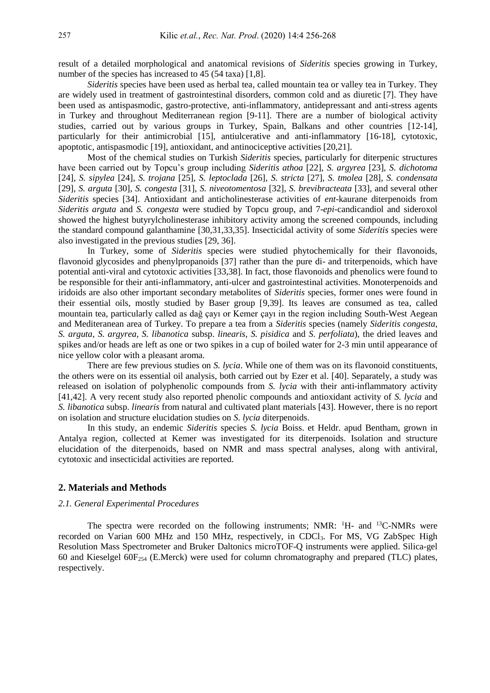result of a detailed morphological and anatomical revisions of *Sideritis* species growing in Turkey, number of the species has increased to 45 (54 taxa) [1,8].

*Sideritis* species have been used as herbal tea, called mountain tea or valley tea in Turkey. They are widely used in treatment of gastrointestinal disorders, common cold and as diuretic [7]. They have been used as antispasmodic, gastro-protective, anti-inflammatory, antidepressant and anti-stress agents in Turkey and throughout Mediterranean region [9-11]. There are a number of biological activity studies, carried out by various groups in Turkey, Spain, Balkans and other countries [12-14], particularly for their antimicrobial [15], antiulcerative and anti-inflammatory [16-18], cytotoxic, apoptotic, antispasmodic [19], antioxidant, and antinociceptive activities [20,21].

Most of the chemical studies on Turkish *Sideritis* species, particularly for diterpenic structures have been carried out by Topcu's group including *Sideritis athoa* [22], *S. argyrea* [23], *S. dichotoma* [24], *S. sipylea* [24], *S. trojana* [25], *S. leptoclada* [26], *S. stricta* [27], *S. tmolea* [28], *S. condensata* [29], *S. arguta* [30], *S. congesta* [31], *S. niveotomentosa* [32], *S. brevibracteata* [33], and several other *Sideritis* species [34]. Antioxidant and anticholinesterase activities of *ent*-kaurane diterpenoids from *Sideritis arguta* and *S. congesta* were studied by Topcu group, and 7-*epi-*candicandiol and sideroxol showed the highest butyrylcholinesterase inhibitory activity among the screened compounds, including the standard compound galanthamine [30,31,33,35]. Insecticidal activity of some *Sideritis* species were also investigated in the previous studies [29, 36].

In Turkey, some of *Sideritis* species were studied phytochemically for their flavonoids, flavonoid glycosides and phenylpropanoids [37] rather than the pure di- and triterpenoids, which have potential anti-viral and cytotoxic activities [33,38]. In fact, those flavonoids and phenolics were found to be responsible for their anti-inflammatory, anti-ulcer and gastrointestinal activities. Monoterpenoids and iridoids are also other important secondary metabolites of *Sideritis* species, former ones were found in their essential oils, mostly studied by Baser group [9,39]. Its leaves are consumed as tea, called mountain tea, particularly called as dağ çayı or Kemer çayı in the region including South-West Aegean and Mediteranean area of Turkey. To prepare a tea from a *Sideritis* species (namely *Sideritis congesta, S. arguta, S. argyrea, S. libanotica* subsp. *linearis, S. pisidica* and *S. perfoliata*), the dried leaves and spikes and/or heads are left as one or two spikes in a cup of boiled water for 2-3 min until appearance of nice yellow color with a pleasant aroma.

There are few previous studies on *S. lycia*. While one of them was on its flavonoid constituents, the others were on its essential oil analysis, both carried out by Ezer et al. [40]. Separately, a study was released on isolation of polyphenolic compounds from *S. lycia* with their anti-inflammatory activity [41,42]. A very recent study also reported phenolic compounds and antioxidant activity of *S. lycia* and *S. libanotica* subsp. *linearis* from natural and cultivated plant materials [43]. However, there is no report on isolation and structure elucidation studies on *S. lycia* diterpenoids.

In this study, an endemic *Sideritis* species *S. lycia* Boiss. et Heldr. apud Bentham, grown in Antalya region, collected at Kemer was investigated for its diterpenoids. Isolation and structure elucidation of the diterpenoids, based on NMR and mass spectral analyses, along with antiviral, cytotoxic and insecticidal activities are reported.

#### **2. Materials and Methods**

#### *2.1. General Experimental Procedures*

The spectra were recorded on the following instruments; NMR: <sup>1</sup>H- and <sup>13</sup>C-NMRs were recorded on Varian 600 MHz and 150 MHz, respectively, in CDCl<sub>3</sub>. For MS, VG ZabSpec High Resolution Mass Spectrometer and Bruker Daltonics microTOF-Q instruments were applied. Silica-gel 60 and Kieselgel  $60F_{254}$  (E.Merck) were used for column chromatography and prepared (TLC) plates, respectively.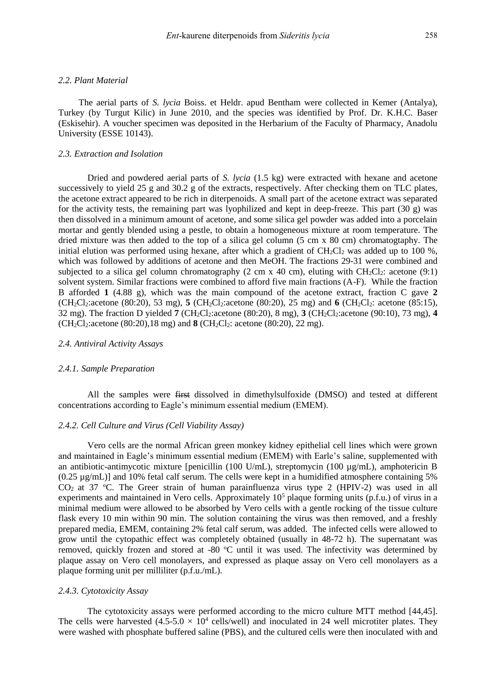#### *2.2. Plant Material*

 The aerial parts of *S. lycia* Boiss. et Heldr. apud Bentham were collected in Kemer (Antalya), Turkey (by Turgut Kilic) in June 2010, and the species was identified by Prof. Dr. K.H.C. Baser (Eskisehir). A voucher specimen was deposited in the Herbarium of the Faculty of Pharmacy, Anadolu University (ESSE 10143).

#### *2.3. Extraction and Isolation*

Dried and powdered aerial parts of *S. lycia* (1.5 kg) were extracted with hexane and acetone successively to yield 25 g and 30.2 g of the extracts, respectively. After checking them on TLC plates, the acetone extract appeared to be rich in diterpenoids. A small part of the acetone extract was separated for the activity tests, the remaining part was lyophilized and kept in deep-freeze. This part (30 g) was then dissolved in a minimum amount of acetone, and some silica gel powder was added into a porcelain mortar and gently blended using a pestle, to obtain a homogeneous mixture at room temperature. The dried mixture was then added to the top of a silica gel column (5 cm x 80 cm) chromatogtaphy. The initial elution was performed using hexane, after which a gradient of  $CH_2Cl_2$  was added up to 100 %, which was followed by additions of acetone and then MeOH. The fractions 29-31 were combined and subjected to a silica gel column chromatography (2 cm x 40 cm), eluting with  $CH_2Cl_2$ : acetone (9:1) solvent system. Similar fractions were combined to afford five main fractions (A-F). While the fraction B afforded **1** (4.88 g), which was the main compound of the acetone extract, fraction C gave **2** (CH2Cl2:acetone (80:20), 53 mg), **5** (CH2Cl2:acetone (80:20), 25 mg) and **6** (CH2Cl2: acetone (85:15), 32 mg). The fraction D yielded **7** (CH2Cl2:acetone (80:20), 8 mg), **3** (CH2Cl2:acetone (90:10), 73 mg), **4**   $(CH_2Cl_2:acetone (80:20),18 mg)$  and **8** (CH<sub>2</sub>Cl<sub>2</sub>: acetone (80:20), 22 mg).

#### *2.4. Antiviral Activity Assays*

#### *2.4.1. Sample Preparation*

All the samples were first dissolved in dimethylsulfoxide (DMSO) and tested at different concentrations according to Eagle's minimum essential medium (EMEM).

#### *2.4.2. Cell Culture and Virus (Cell Viability Assay)*

Vero cells are the normal African green monkey kidney epithelial cell lines which were grown and maintained in Eagle's minimum essential medium (EMEM) with Earle's saline, supplemented with an antibiotic-antimycotic mixture [penicillin (100 U/mL), streptomycin (100  $\mu$ g/mL), amphotericin B  $(0.25 \mu g/mL)$ ] and 10% fetal calf serum. The cells were kept in a humidified atmosphere containing 5%  $CO<sub>2</sub>$  at 37 °C. The Greer strain of human parainfluenza virus type 2 (HPIV-2) was used in all experiments and maintained in Vero cells. Approximately  $10<sup>5</sup>$  plaque forming units (p.f.u.) of virus in a minimal medium were allowed to be absorbed by Vero cells with a gentle rocking of the tissue culture flask every 10 min within 90 min. The solution containing the virus was then removed, and a freshly prepared media, EMEM, containing 2% fetal calf serum, was added. The infected cells were allowed to grow until the cytopathic effect was completely obtained (usually in 48-72 h). The supernatant was removed, quickly frozen and stored at -80  $^{\circ}$ C until it was used. The infectivity was determined by plaque assay on Vero cell monolayers, and expressed as plaque assay on Vero cell monolayers as a plaque forming unit per milliliter (p.f.u./mL).

#### *2.4.3. Cytotoxicity Assay*

The cytotoxicity assays were performed according to the micro culture MTT method [44,45]. The cells were harvested  $(4.5\n-5.0 \times 10^4$  cells/well) and inoculated in 24 well microtiter plates. They were washed with phosphate buffered saline (PBS), and the cultured cells were then inoculated with and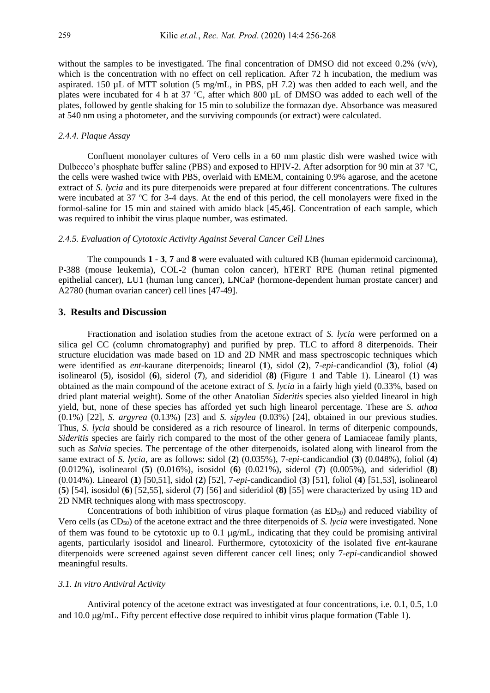without the samples to be investigated. The final concentration of DMSO did not exceed  $0.2\%$  (v/v), which is the concentration with no effect on cell replication. After 72 h incubation, the medium was aspirated. 150 µL of MTT solution (5 mg/mL, in PBS, pH 7.2) was then added to each well, and the plates were incubated for 4 h at 37  $\degree$ C, after which 800  $\mu$ L of DMSO was added to each well of the plates, followed by gentle shaking for 15 min to solubilize the formazan dye. Absorbance was measured at 540 nm using a photometer, and the surviving compounds (or extract) were calculated.

### *2.4.4. Plaque Assay*

Confluent monolayer cultures of Vero cells in a 60 mm plastic dish were washed twice with Dulbecco's phosphate buffer saline (PBS) and exposed to HPIV-2. After adsorption for 90 min at 37  $^{\circ}$ C, the cells were washed twice with PBS, overlaid with EMEM, containing 0.9% agarose, and the acetone extract of *S. lycia* and its pure diterpenoids were prepared at four different concentrations. The cultures were incubated at  $37 \text{ °C}$  for  $3-4$  days. At the end of this period, the cell monolayers were fixed in the formol-saline for 15 min and stained with amido black [45,46]. Concentration of each sample, which was required to inhibit the virus plaque number, was estimated.

## *2.4.5. Evaluation of Cytotoxic Activity Against Several Cancer Cell Lines*

The compounds **1** - **3**, **7** and **8** were evaluated with cultured KB (human epidermoid carcinoma), P-388 (mouse leukemia), COL-2 (human colon cancer), hTERT RPE (human retinal pigmented epithelial cancer), LU1 (human lung cancer), LNCaP (hormone-dependent human prostate cancer) and A2780 (human ovarian cancer) cell lines [47-49].

## **3. Results and Discussion**

Fractionation and isolation studies from the acetone extract of *S. lycia* were performed on a silica gel CC (column chromatography) and purified by prep. TLC to afford 8 diterpenoids. Their structure elucidation was made based on 1D and 2D NMR and mass spectroscopic techniques which were identified as *ent*-kaurane diterpenoids; linearol (**1**), sidol (**2**), 7-*epi-*candicandiol (**3**), foliol (**4**) isolinearol (**5**), isosidol (**6**), siderol (**7**), and sideridiol (**8)** (Figure 1 and Table 1). Linearol (**1**) was obtained as the main compound of the acetone extract of *S. lycia* in a fairly high yield (0.33%, based on dried plant material weight). Some of the other Anatolian *Sideritis* species also yielded linearol in high yield, but, none of these species has afforded yet such high linearol percentage. These are *S. athoa*  (0.1%) [22], *S. argyrea* (0.13%) [23] and *S. sipylea* (0.03%) [24], obtained in our previous studies. Thus, *S. lycia* should be considered as a rich resource of linearol. In terms of diterpenic compounds, *Sideritis* species are fairly rich compared to the most of the other genera of Lamiaceae family plants, such as *Salvia* species. The percentage of the other diterpenoids, isolated along with linearol from the same extract of *S. lycia*, are as follows: sidol (**2**) (0.035%), 7-*epi-*candicandiol (**3**) (0.048%), foliol (**4**) (0.012%), isolinearol (**5**) (0.016%), isosidol (**6**) (0.021%), siderol (**7**) (0.005%), and sideridiol (**8**) (0.014%). Linearol (**1**) [50,51], sidol (**2**) [52], 7-*epi-*candicandiol (**3**) [51], foliol (**4**) [51,53], isolinearol (**5**) [54], isosidol (**6**) [52,55], siderol (**7**) [56] and sideridiol (**8)** [55] were characterized by using 1D and 2D NMR techniques along with mass spectroscopy.

Concentrations of both inhibition of virus plaque formation (as  $ED_{50}$ ) and reduced viability of Vero cells (as CD<sub>50</sub>) of the acetone extract and the three diterpenoids of *S. lycia* were investigated. None of them was found to be cytotoxic up to 0.1  $\mu$ g/mL, indicating that they could be promising antiviral agents, particularly isosidol and linearol. Furthermore, cytotoxicity of the isolated five *ent*-kaurane diterpenoids were screened against seven different cancer cell lines; only 7-*epi-*candicandiol showed meaningful results.

#### *3.1. In vitro Antiviral Activity*

Antiviral potency of the acetone extract was investigated at four concentrations, i.e. 0.1, 0.5, 1.0 and  $10.0 \mu$ g/mL. Fifty percent effective dose required to inhibit virus plaque formation (Table 1).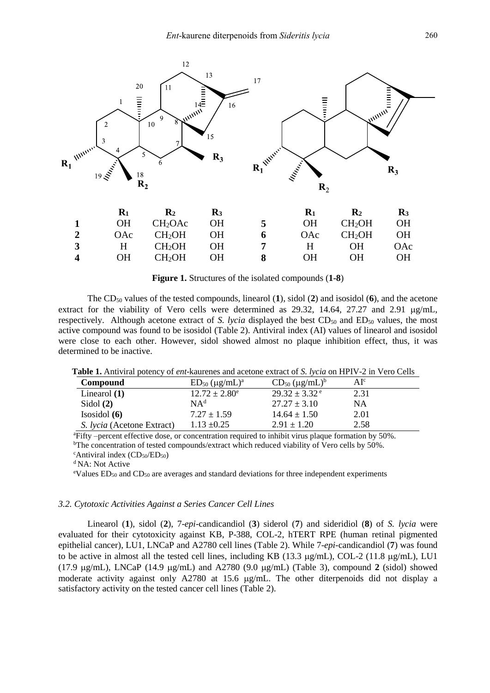

|   |     | ---                 | $\cdots$ |   |      | ---                | $\cdots$ |
|---|-----|---------------------|----------|---|------|--------------------|----------|
|   | OH  | CH <sub>2</sub> OAc | OН       | 5 | OH.  | CH <sub>2</sub> OH | ЭH       |
| 2 | OAC | CH <sub>2</sub> OH  | OН       | 6 | OAc- | CH <sub>2</sub> OH | OН       |
| 3 | H.  | CH <sub>2</sub> OH  | OН       |   | H.   | <b>OH</b>          | OAc      |
| 4 | OН  | CH <sub>2</sub> OH  | OН       |   | OН   | OН                 | OН       |
|   |     |                     |          |   |      |                    |          |

**Figure 1.** Structures of the isolated compounds (**1-8**)

The CD<sup>50</sup> values of the tested compounds, linearol (**1**), sidol (**2**) and isosidol (**6**), and the acetone extract for the viability of Vero cells were determined as  $29.32$ ,  $14.64$ ,  $27.27$  and  $2.91 \text{ µg/mL}$ , respectively. Although acetone extract of *S. lycia* displayed the best CD<sub>50</sub> and ED<sub>50</sub> values, the most active compound was found to be isosidol (Table 2). Antiviral index (AI) values of linearol and isosidol were close to each other. However, sidol showed almost no plaque inhibition effect, thus, it was determined to be inactive.

| Compound                          | $ED_{50}$ (µg/mL) <sup>a</sup> | $CD_{50} (\mu g/mL)^b$        | AI <sup>c</sup> |
|-----------------------------------|--------------------------------|-------------------------------|-----------------|
| Linearol $(1)$                    | $12.72 \pm 2.80^{\circ}$       | $29.32 \pm 3.32$ <sup>e</sup> | 2.31            |
| Sidol $(2)$                       | NA <sup>d</sup>                | $27.27 \pm 3.10$              | NA              |
| Isosidol $(6)$                    | $7.27 \pm 1.59$                | $14.64 \pm 1.50$              | 2.01            |
| <i>S. Iycia</i> (Acetone Extract) | $1.13 \pm 0.25$                | $2.91 \pm 1.20$               | 2.58            |

<sup>a</sup>Fifty –percent effective dose, or concentration required to inhibit virus plaque formation by 50%. <sup>b</sup>The concentration of tested compounds/extract which reduced viability of Vero cells by 50%.

<sup>d</sup> NA: Not Active

<sup>e</sup>Values  $ED_{50}$  and  $CD_{50}$  are averages and standard deviations for three independent experiments

#### *3.2. Cytotoxic Activities Against a Series Cancer Cell Lines*

Linearol (**1**), sidol (**2**), 7-*epi-*candicandiol (**3**) siderol (**7**) and sideridiol (**8**) of *S. lycia* were evaluated for their cytotoxicity against KB, P-388, COL-2, hTERT RPE (human retinal pigmented epithelial cancer), LU1, LNCaP and A2780 cell lines (Table 2). While 7-*epi-*candicandiol (**7**) was found to be active in almost all the tested cell lines, including KB (13.3  $\mu$ g/mL), COL-2 (11.8  $\mu$ g/mL), LU1 (17.9  $\mu$ g/mL), LNCaP (14.9  $\mu$ g/mL) and A2780 (9.0  $\mu$ g/mL) (Table 3), compound 2 (sidol) showed moderate activity against only A2780 at 15.6  $\mu$ g/mL. The other diterpenoids did not display a satisfactory activity on the tested cancer cell lines (Table 2).

 $c$ Antiviral index (CD<sub>50</sub>/ED<sub>50</sub>)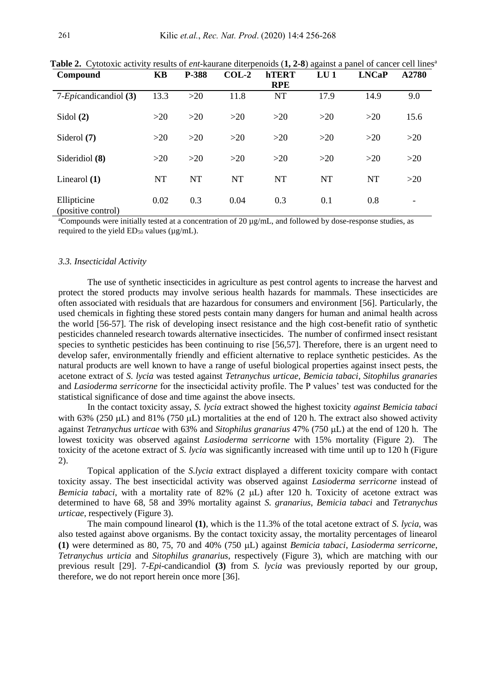| Compound                          | <b>KB</b> | P-388     | $COL-2$   | <b>hTERT</b><br><b>RPE</b> | $LU$ 1    | <b>LNCaP</b> | A2780                    |
|-----------------------------------|-----------|-----------|-----------|----------------------------|-----------|--------------|--------------------------|
| 7- <i>Epi</i> candicandiol (3)    | 13.3      | >20       | 11.8      | <b>NT</b>                  | 17.9      | 14.9         | 9.0                      |
| Sidol $(2)$                       | >20       | >20       | >20       | >20                        | >20       | >20          | 15.6                     |
| Siderol $(7)$                     | $>20$     | >20       | >20       | >20                        | >20       | >20          | $>20$                    |
| Sideridiol (8)                    | >20       | >20       | >20       | >20                        | >20       | $>20$        | $>20$                    |
| Linearol $(1)$                    | <b>NT</b> | <b>NT</b> | <b>NT</b> | <b>NT</b>                  | <b>NT</b> | <b>NT</b>    | $>20$                    |
| Ellipticine<br>(positive control) | 0.02      | 0.3       | 0.04      | 0.3                        | 0.1       | 0.8          | $\overline{\phantom{0}}$ |

**Table 2.** Cytotoxic activity results of *ent*-kaurane diterpenoids (1, 2-8) against a panel of cancer cell lines<sup>a</sup>

<sup>a</sup>Compounds were initially tested at a concentration of 20 µg/mL, and followed by dose-response studies, as required to the yield  $ED_{50}$  values ( $\mu$ g/mL).

#### *3.3. Insecticidal Activity*

The use of synthetic insecticides in agriculture as pest control agents to increase the harvest and protect the stored products may involve serious health hazards for mammals. These insecticides are often associated with residuals that are hazardous for consumers and environment [56]. Particularly, the used chemicals in fighting these stored pests contain many dangers for human and animal health across the world [56-57]. The risk of developing insect resistance and the high cost-benefit ratio of synthetic pesticides channeled research towards alternative insecticides. The number of confirmed insect resistant species to synthetic pesticides has been continuing to rise [56,57]. Therefore, there is an urgent need to develop safer, environmentally friendly and efficient alternative to replace synthetic pesticides. As the natural products are well known to have a range of useful biological properties against insect pests, the acetone extract of *S. lycia* was tested against *Tetranychus urticae, Bemicia tabaci, Sitophilus granaries*  and *Lasioderma serricorne* for the insecticidal activity profile. The P values' test was conducted for the statistical significance of dose and time against the above insects.

In the contact toxicity assay, *S. lycia* extract showed the highest toxicity *against Bemicia tabaci* with 63% (250  $\mu$ L) and 81% (750  $\mu$ L) mortalities at the end of 120 h. The extract also showed activity against *Tetranychus urticae* with 63% and *Sitophilus granarius* 47% (750 µL) at the end of 120 h. The lowest toxicity was observed against *Lasioderma serricorne* with 15% mortality (Figure 2). The toxicity of the acetone extract of *S. lycia* was significantly increased with time until up to 120 h (Figure 2).

Topical application of the *S.lycia* extract displayed a different toxicity compare with contact toxicity assay. The best insecticidal activity was observed against *Lasioderma serricorne* instead of *Bemicia tabaci*, with a mortality rate of 82% (2 µL) after 120 h. Toxicity of acetone extract was determined to have 68, 58 and 39% mortality against *S. granarius*, *Bemicia tabaci* and *Tetranychus urticae*, respectively (Figure 3).

The main compound linearol **(1)**, which is the 11.3% of the total acetone extract of *S. lycia*, was also tested against above organisms. By the contact toxicity assay, the mortality percentages of linearol **(1)** were determined as 80, 75, 70 and 40% (750 L) against *Bemicia tabaci*, *Lasioderma serricorne*, *Tetranychus urticia* and *Sitophilus granarius*, respectively (Figure 3), which are matching with our previous result [29]. 7-*Epi*-candicandiol **(3)** from *S. lycia* was previously reported by our group, therefore, we do not report herein once more [36].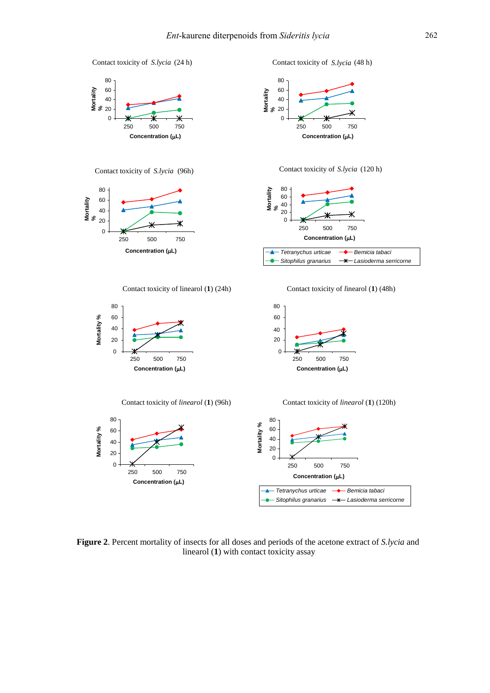

**Figure 2**. Percent mortality of insects for all doses and periods of the acetone extract of *S.lycia* and linearol (**1**) with contact toxicity assay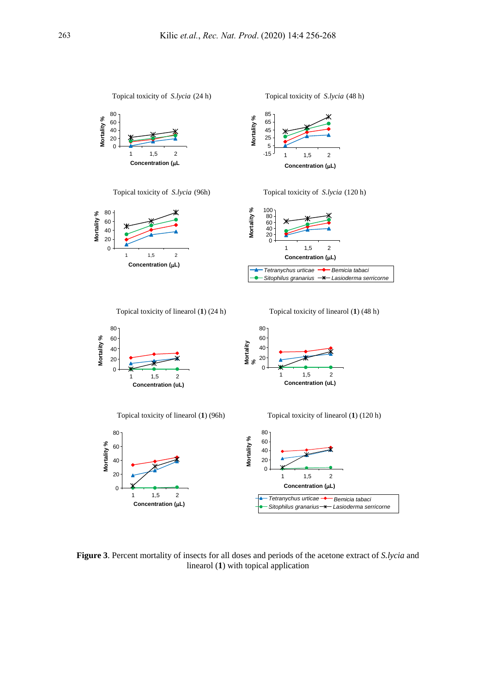

**Figure 3**. Percent mortality of insects for all doses and periods of the acetone extract of *S.lycia* and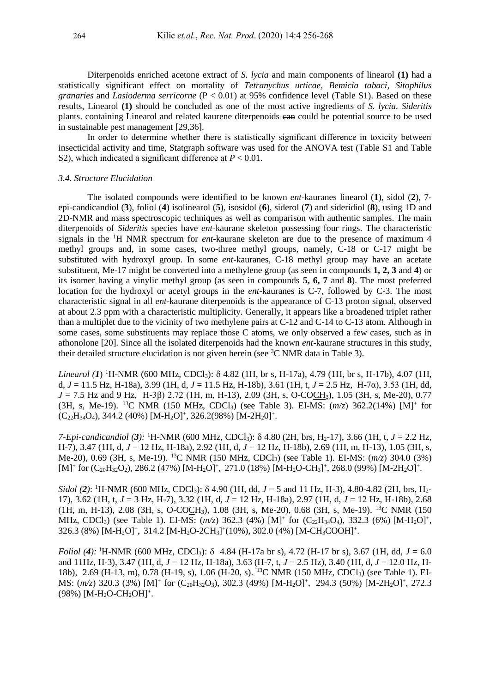Diterpenoids enriched acetone extract of *S. lycia* and main components of linearol **(1)** had a statistically significant effect on mortality of *Tetranychus urticae, Bemicia tabaci, Sitophilus granaries* and *Lasioderma serricorne* (P < 0.01) at 95% confidence level (Table S1). Based on these results, Linearol **(1)** should be concluded as one of the most active ingredients of *S. lycia. Sideritis* plants. containing Linearol and related kaurene diterpenoids can could be potential source to be used in sustainable pest management [29,36].

In order to determine whether there is statistically significant difference in toxicity between insecticidal activity and time, Statgraph software was used for the ANOVA test (Table S1 and Table S2), which indicated a significant difference at *P* < 0.01.

## *3.4. Structure Elucidation*

The isolated compounds were identified to be known *ent*-kauranes linearol (**1**), sidol (**2**), 7 epi-candicandiol (**3**), foliol (**4**) isolinearol (**5**), isosidol (**6**), siderol (**7**) and sideridiol (**8**), using 1D and 2D-NMR and mass spectroscopic techniques as well as comparison with authentic samples. The main diterpenoids of *Sideritis* species have *ent-*kaurane skeleton possessing four rings. The characteristic signals in the <sup>1</sup>H NMR spectrum for *ent*-kaurane skeleton are due to the presence of maximum 4 methyl groups and, in some cases, two-three methyl groups, namely, C-18 or C-17 might be substituted with hydroxyl group. In some *ent-*kauranes, C-18 methyl group may have an acetate substituent, Me-17 might be converted into a methylene group (as seen in compounds **1, 2, 3** and **4**) or its isomer having a vinylic methyl group (as seen in compounds **5, 6, 7** and **8**). The most preferred location for the hydroxyl or acetyl groups in the *ent-*kauranes is C-7, followed by C-3. The most characteristic signal in all *ent*-kaurane diterpenoids is the appearance of C-13 proton signal, observed at about 2.3 ppm with a characteristic multiplicity. Generally, it appears like a broadened triplet rather than a multiplet due to the vicinity of two methylene pairs at C-12 and C-14 to C-13 atom. Although in some cases, some substituents may replace those C atoms, we only observed a few cases, such as in athonolone [20]. Since all the isolated diterpenoids had the known *ent*-kaurane structures in this study, their detailed structure elucidation is not given herein (see  ${}^{3}C$  NMR data in Table 3).

Linearol (1) <sup>1</sup>H-NMR (600 MHz, CDCl<sub>3</sub>):  $\delta$  4.82 (1H, br s, H-17a), 4.79 (1H, br s, H-17b), 4.07 (1H, d, *J* = 11.5 Hz, H-18a), 3.99 (1H, d, *J* = 11.5 Hz, H-18b), 3.61 (1H, t, *J* = 2.5 Hz, H-7α), 3.53 (1H, dd, *J* = 7.5 Hz and 9 Hz, H-3β) 2.72 (1H, m, H-13), 2.09 (3H, s, O-COCH3), 1.05 (3H, s, Me-20), 0.77 (3H, s, Me-19). <sup>13</sup>C NMR (150 MHz, CDCl3) (see Table 3). EI-MS: (*m/z*) 362.2(14%) [M]<sup>+</sup> for  $(C_{22}H_{34}O_4)$ , 344.2 (40%) [M-H<sub>2</sub>O]<sup>+</sup>, 326.2(98%) [M-2H<sub>2</sub>O]<sup>+</sup>.

*7-Epi-candicandiol (3):* <sup>1</sup>H-NMR (600 MHz, CDCl3): 4.80 (2H, brs, H2-17), 3.66 (1H, t, *J* = 2.2 Hz, H-7), 3.47 (1H, d, *J* = 12 Hz, H-18a), 2.92 (1H, d, *J* = 12 Hz, H-18b), 2.69 (1H, m, H-13), 1.05 (3H, s, Me-20), 0.69 (3H, s, Me-19). <sup>13</sup>C NMR (150 MHz, CDCl3) (see Table 1). EI-MS: (*m/z*) 304.0 (3%)  $[M]^+$  for  $(C_{20}H_{32}O_2)$ , 286.2 (47%)  $[M-H_2O]^+$ , 271.0 (18%)  $[M-H_2O-CH_3]^+$ , 268.0 (99%)  $[M-2H_2O]^+$ .

*Sidol (2)*: <sup>1</sup>H-NMR (600 MHz, CDCl<sub>3</sub>):  $\delta$  4.90 (1H, dd, *J* = 5 and 11 Hz, H-3), 4.80-4.82 (2H, brs, H<sub>2</sub>-17), 3.62 (1H, t, *J* = 3 Hz, H-7), 3.32 (1H, d, *J* = 12 Hz, H-18a), 2.97 (1H, d, *J* = 12 Hz, H-18b), 2.68 (1H, m, H-13), 2.08 (3H, s, O-COCH3), 1.08 (3H, s, Me-20), 0.68 (3H, s, Me-19). <sup>13</sup>C NMR (150 MHz, CDCl<sub>3</sub>) (see Table 1). EI-MS:  $(m/z)$  362.3 (4%) [M]<sup>+</sup> for  $(C_{22}H_{34}O_4)$ , 332.3 (6%) [M-H<sub>2</sub>O]<sup>+</sup>,  $326.3$  (8%) [M-H<sub>2</sub>O]<sup>+</sup>, 314.2 [M-H<sub>2</sub>O-2CH<sub>3</sub>]<sup>+</sup>(10%), 302.0 (4%) [M-CH<sub>3</sub>COOH]<sup>+</sup>.

*Foliol (4):* <sup>1</sup>H-NMR (600 MHz, CDCl<sub>3</sub>):  $\delta$  4.84 (H-17a br s), 4.72 (H-17 br s), 3.67 (1H, dd,  $J = 6.0$ ) and 11Hz, H-3), 3.47 (1H, d, *J* = 12 Hz, H-18a), 3.63 (H-7, t, *J* = 2.5 Hz), 3.40 (1H, d, *J* = 12.0 Hz, H-18b), 2.69 (H-13, m), 0.78 (H-19, s), 1.06 (H-20, s). <sup>13</sup>C NMR (150 MHz, CDCl<sub>3</sub>) (see Table 1). EI-MS:  $(m/z)$  320.3 (3%) [M]<sup>+</sup> for (C<sub>20</sub>H<sub>32</sub>O<sub>3</sub>), 302.3 (49%) [M-H<sub>2</sub>O]<sup>+</sup>, 294.3 (50%) [M-2H<sub>2</sub>O]<sup>+</sup>, 272.3  $(98\%)$  [M-H<sub>2</sub>O-CH<sub>2</sub>OH]<sup>+</sup>.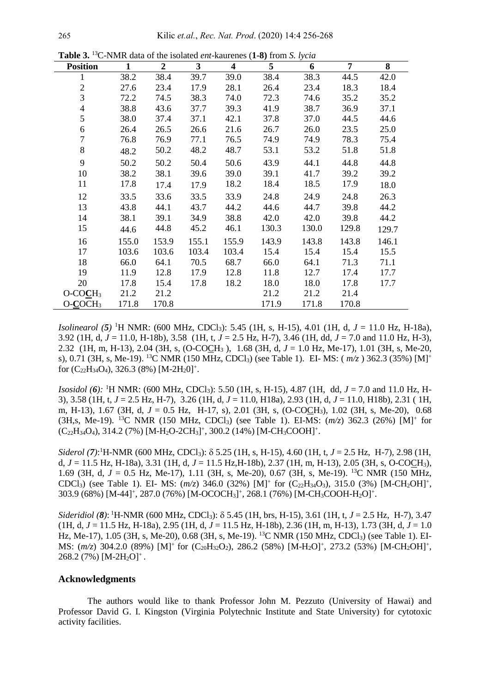| <b>Position</b>          | $\mathbf{1}$ | $\overline{2}$ | 3     | 4     | 5     | 6     | 7     | 8     |
|--------------------------|--------------|----------------|-------|-------|-------|-------|-------|-------|
|                          | 38.2         | 38.4           | 39.7  | 39.0  | 38.4  | 38.3  | 44.5  | 42.0  |
| $\overline{2}$           | 27.6         | 23.4           | 17.9  | 28.1  | 26.4  | 23.4  | 18.3  | 18.4  |
| 3                        | 72.2         | 74.5           | 38.3  | 74.0  | 72.3  | 74.6  | 35.2  | 35.2  |
| $\overline{\mathcal{L}}$ | 38.8         | 43.6           | 37.7  | 39.3  | 41.9  | 38.7  | 36.9  | 37.1  |
| 5                        | 38.0         | 37.4           | 37.1  | 42.1  | 37.8  | 37.0  | 44.5  | 44.6  |
| 6                        | 26.4         | 26.5           | 26.6  | 21.6  | 26.7  | 26.0  | 23.5  | 25.0  |
| $\overline{7}$           | 76.8         | 76.9           | 77.1  | 76.5  | 74.9  | 74.9  | 78.3  | 75.4  |
| 8                        | 48.2         | 50.2           | 48.2  | 48.7  | 53.1  | 53.2  | 51.8  | 51.8  |
| 9                        | 50.2         | 50.2           | 50.4  | 50.6  | 43.9  | 44.1  | 44.8  | 44.8  |
| 10                       | 38.2         | 38.1           | 39.6  | 39.0  | 39.1  | 41.7  | 39.2  | 39.2  |
| 11                       | 17.8         | 17.4           | 17.9  | 18.2  | 18.4  | 18.5  | 17.9  | 18.0  |
| 12                       | 33.5         | 33.6           | 33.5  | 33.9  | 24.8  | 24.9  | 24.8  | 26.3  |
| 13                       | 43.8         | 44.1           | 43.7  | 44.2  | 44.6  | 44.7  | 39.8  | 44.2  |
| 14                       | 38.1         | 39.1           | 34.9  | 38.8  | 42.0  | 42.0  | 39.8  | 44.2  |
| 15                       | 44.6         | 44.8           | 45.2  | 46.1  | 130.3 | 130.0 | 129.8 | 129.7 |
| 16                       | 155.0        | 153.9          | 155.1 | 155.9 | 143.9 | 143.8 | 143.8 | 146.1 |
| 17                       | 103.6        | 103.6          | 103.4 | 103.4 | 15.4  | 15.4  | 15.4  | 15.5  |
| 18                       | 66.0         | 64.1           | 70.5  | 68.7  | 66.0  | 64.1  | 71.3  | 71.1  |
| 19                       | 11.9         | 12.8           | 17.9  | 12.8  | 11.8  | 12.7  | 17.4  | 17.7  |
| 20                       | 17.8         | 15.4           | 17.8  | 18.2  | 18.0  | 18.0  | 17.8  | 17.7  |
| $O-COCH3$                | 21.2         | 21.2           |       |       | 21.2  | 21.2  | 21.4  |       |
| $O-COCH3$                | 171.8        | 170.8          |       |       | 171.9 | 171.8 | 170.8 |       |

**Table 3.** <sup>13</sup>C-NMR data of the isolated *ent*-kaurenes (**1-8)** from *S. lycia*

*Isolinearol* (5) <sup>1</sup>H NMR: (600 MHz, CDCl<sub>3</sub>): 5.45 (1H, s, H-15), 4.01 (1H, d, *J* = 11.0 Hz, H-18a), 3.92 (1H, d, *J* = 11.0, H-18b), 3.58 (1H, t, *J* = 2.5 Hz, H-7), 3.46 (1H, dd, *J* = 7.0 and 11.0 Hz, H-3), 2.32 (1H, m, H-13), 2.04 (3H, s, (O-COCH<sup>3</sup> ), 1.68 (3H, d, *J* = 1.0 Hz, Me-17), 1.01 (3H, s, Me-20, s), 0.71 (3H, s, Me-19). <sup>13</sup>C NMR (150 MHz, CDCl3) (see Table 1). EI- MS: ( *m/z* ) 362.3 (35%) [M]<sup>+</sup> for  $(C_{22}H_{34}O_4)$ , 326.3 (8%) [M-2H<sub>2</sub>0]<sup>+</sup>.

*Isosidol* (6): <sup>1</sup>H NMR: (600 MHz, CDCl<sub>3</sub>): 5.50 (1H, s, H-15), 4.87 (1H, dd, *J* = 7.0 and 11.0 Hz, H-3), 3.58 (1H, t, *J* = 2.5 Hz, H-7), 3.26 (1H, d, *J* = 11.0, H18a), 2.93 (1H, d, *J* = 11.0, H18b), 2.31 ( 1H, m, H-13), 1.67 (3H, d, *J* = 0.5 Hz, H-17, s), 2.01 (3H, s, (O-COCH3), 1.02 (3H, s, Me-20), 0.68 (3H,s, Me-19). <sup>13</sup>C NMR (150 MHz, CDCl3) (see Table 1). EI-MS: (*m/z*) 362.3 (26%) [M]<sup>+</sup> for  $(C_{22}H_{34}O_4)$ , 314.2 (7%) [M-H<sub>2</sub>O-2CH<sub>3</sub>]<sup>+</sup>, 300.2 (14%) [M-CH<sub>3</sub>COOH]<sup>+</sup>.

*Siderol* (**7**):<sup>1</sup>H-NMR (600 MHz, CDCl<sub>3</sub>): δ 5.25 (1H, s, H-15), 4.60 (1H, t, *J* = 2.5 Hz, H-7), 2.98 (1H, d, *J* = 11.5 Hz, H-18a), 3.31 (1H, d, *J* = 11.5 Hz,H-18b), 2.37 (1H, m, H-13), 2.05 (3H, s, O-COCH3), 1.69 (3H, d, *J* = 0.5 Hz, Me-17), 1.11 (3H, s, Me-20), 0.67 (3H, s, Me-19). <sup>13</sup>C NMR (150 MHz, CDCl<sub>3</sub>) (see Table 1). EI- MS:  $(m/z)$  346.0 (32%) [M]<sup>+</sup> for (C<sub>22</sub>H<sub>34</sub>O<sub>3</sub>), 315.0 (3%) [M-CH<sub>2</sub>OH]<sup>+</sup>, 303.9 (68%) [M-44]<sup>+</sup>, 287.0 (76%) [M-OCOCH<sub>3</sub>]<sup>+</sup>, 268.1 (76%) [M-CH<sub>3</sub>COOH-H<sub>2</sub>O]<sup>+</sup>.

*Sideridiol (8)*: <sup>1</sup>H-NMR (600 MHz, CDCl3): 5.45 (1H, brs, H-15), 3.61 (1H, t, *J* = 2.5 Hz, H-7), 3.47 (1H, d, *J* = 11.5 Hz, H-18a), 2.95 (1H, d, *J* = 11.5 Hz, H-18b), 2.36 (1H, m, H-13), 1.73 (3H, d, *J* = 1.0 Hz, Me-17), 1.05 (3H, s, Me-20), 0.68 (3H, s, Me-19). <sup>13</sup>C NMR (150 MHz, CDCl<sub>3</sub>) (see Table 1). EI-MS:  $(m/z)$  304.2.0 (89%) [M]<sup>+</sup> for (C<sub>20</sub>H<sub>32</sub>O<sub>2</sub>), 286.2 (58%) [M-H<sub>2</sub>O]<sup>+</sup>, 273.2 (53%) [M-CH<sub>2</sub>OH]<sup>+</sup>,  $268.2$  (7%) [M-2H<sub>2</sub>O]<sup>+</sup>.

#### **Acknowledgments**

The authors would like to thank Professor John M. Pezzuto (University of Hawai) and Professor David G. I. Kingston (Virginia Polytechnic Institute and State University) for cytotoxic activity facilities.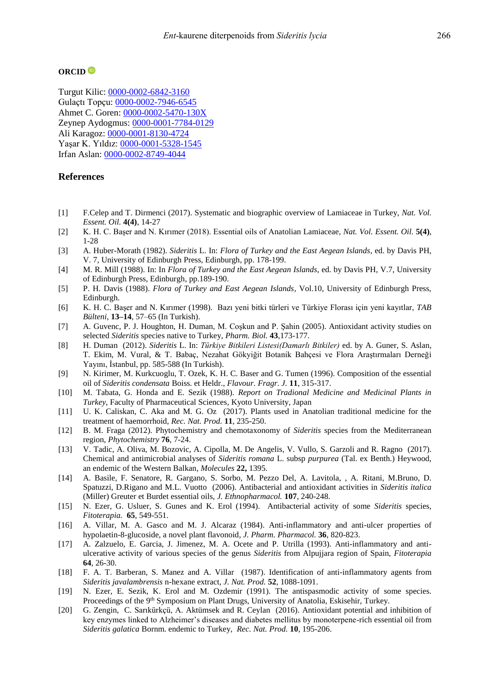#### **ORCID**

Turgut Kilic: [0000-0002-6842-3160](http://orcid.org/0000-0002-6842-3160) Gulaçtı Topçu: [0000-0002-7946-6545](https://orcid.org/0000-0002-7946-6545) Ahmet C. Goren: [0000-0002-5470-130X](http://orcid.org/0000-0002-5470-130X) Zeynep Aydogmus: [0000-0001-7784-0129](https://orcid.org/0000-0001-7784-0129) Ali Karagoz: [0000-0001-8130-4724](https://orcid.org/0000-0001-8130-4724) Yaşar K. Yıldız: [0000-0001-5328-1545](https://orcid.org/0000-0001-5328-1545) Irfan Aslan: [0000-0002-8749-4044](https://orcid.org/0000-0002-8749-4044)

## **References**

- [1] F.Celep and T. Dirmenci (2017). Systematic and biographic overview of Lamiaceae in Turkey, *Nat. Vol. Essent. Oil.* **4(4)**, 14-27
- [2] K. H. C. Başer and N. Kırımer (2018). Essential oils of Anatolian Lamiaceae, *Nat. Vol. Essent. Oil.* **5(4)**, 1-28
- [3] A. Huber-Morath (1982). *Sideritis* L. In: *Flora of Turkey and the East Aegean Islands*, ed. by Davis PH, V. 7, University of Edinburgh Press, Edinburgh, pp. 178-199.
- [4] M. R. Mill (1988). In: In *Flora of Turkey and the East Aegean Islands*, ed. by Davis PH, V.7, University of Edinburgh Press, Edinburgh, pp.189-190.
- [5] P. H. Davis (1988). *Flora of Turkey and East Aegean Islands*, Vol.10, University of Edinburgh Press, Edinburgh.
- [6] K. H. C. Başer and N. Kırımer (1998). Bazı yeni bitki türleri ve Türkiye Florası için yeni kayıtlar, *TAB Bülteni*, **13–14**, 57–65 (In Turkish).
- [7] A. Guvenc, P. J. Houghton, H. Duman, M. Coşkun and P. Şahin (2005). Antioxidant activity studies on selected *Sideritis* species native to Turkey, *Pharm. Biol.* **43**,173-177.
- [8] H. Duman (2012). *Sideritis* L. In: *Türkiye Bitkileri Listesi(Damarlı Bitkiler)* ed. by A. Guner, S. Aslan, T. Ekim, M. Vural, & T. Babaç, Nezahat Gökyiğit Botanik Bahçesi ve Flora Araştırmaları Derneği Yayını, İstanbul, pp. 585-588 (In Turkish).
- [9] N. Kirimer, M. Kurkcuoglu, T. Ozek, K. H. C. Baser and G. Tumen (1996). Composition of the essential oil of *Sideritis condensata* Boiss. et Heldr., *Flavour. Fragr. J.* **11**, 315-317.
- [10] M. Tabata, G. Honda and E. Sezik (1988). *Report on Tradional Medicine and Medicinal Plants in Turkey*, Faculty of Pharmaceutical Sciences, Kyoto University, Japan
- [11] U. K. Caliskan, C. Aka and M. G. Oz (2017). Plants used in Anatolian traditional medicine for the treatment of haemorrhoid, *Rec. Nat. Prod.* **11**, 235-250.
- [12] B. M. Fraga (2012). Phytochemistry and chemotaxonomy of *Sideritis* species from the Mediterranean region, *Phytochemistry* **76**, 7-24.
- [13] V. Tadic, A. Oliva, M. Bozovic, A. Cipolla, M. De Angelis, V. Vullo, S. Garzoli and R. Ragno (2017). Chemical and antimicrobial analyses of *Sideritis romana* L. subsp *purpurea* (Tal. ex Benth.) Heywood, an endemic of the Western Balkan, *Molecules* **22,** 1395.
- [14] A. Basile, F. Senatore, R. Gargano, S. Sorbo, M. Pezzo Del, A. Lavitola, , A. Ritani, M.Bruno, D. Spatuzzi, D.Rigano and M.L. Vuotto (2006). Antibacterial and antioxidant activities in *Sideritis italica* (Miller) Greuter et Burdet essential oils, *J. Ethnopharmacol.* **107**, 240-248.
- [15] N. Ezer, G. Usluer, S. Gunes and K. Erol (1994). Antibacterial activity of some *Sideritis* species, *Fitoterapia.* **65**, 549-551.
- [16] A. Villar, M. A. Gasco and M. J. Alcaraz (1984). Anti-inflammatory and anti-ulcer properties of hypolaetin-8-glucoside, a novel plant flavonoid*, J. Pharm. Pharmacol.* **36**, 820-823.
- [17] A. Zalzuelo, E. Garcia, J. Jimenez, M. A. Ocete and P. Utrilla (1993). Anti-inflammatory and antiulcerative activity of various species of the genus *Sideritis* from Alpujjara region of Spain, *Fitoterapia* **64**, 26-30.
- [18] F. A. T. Barberan, S. Manez and A. Villar (1987). Identification of anti-inflammatory agents from *Sideritis javalambrensis* n-hexane extract, *J. Nat. Prod.* **52**, 1088-1091.
- [19] N. Ezer, E. Sezik, K. Erol and M. Ozdemir (1991). The antispasmodic activity of some species. Proceedings of the 9<sup>th</sup> Symposium on Plant Drugs, University of Anatolia, Eskisehir, Turkey.
- [20] G. Zengin, C. Sarıkürkçü, A. Aktümsek and R. Ceylan (2016). Antioxidant potential and inhibition of key enzymes linked to Alzheimer's diseases and diabetes mellitus by monoterpene-rich essential oil from *Sideritis galatica* Bornm. endemic to Turkey, *Rec. Nat. Prod.* **10**, 195-206.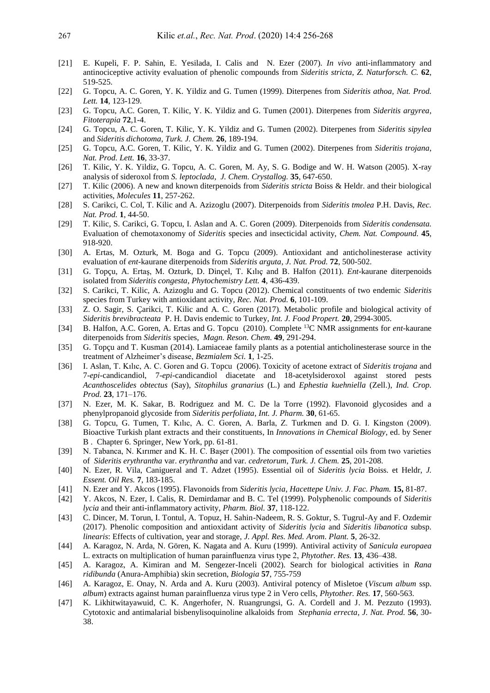- [21] E. Kupeli, F. P. Sahin, E. Yesilada, I. Calis and N. Ezer (2007). *In vivo* anti-inflammatory and antinociceptive activity evaluation of phenolic compounds from *Sideritis stricta*, *Z. Naturforsch. C.* **62**, 519-525.
- [22] G. Topcu, A. C. Goren, Y. K. Yildiz and G. Tumen (1999). Diterpenes from *Sideritis athoa, Nat. Prod. Lett.* **14**, 123-129.
- [23] G. Topcu, A.C. Goren, T. Kilic, Y. K. Yildiz and G. Tumen (2001). Diterpenes from *Sideritis argyrea*, *Fitoterapia* **72**,1-4.
- [24] G. Topcu, A. C. Goren, T. Kilic, Y. K. Yildiz and G. Tumen (2002). Diterpenes from *Sideritis sipylea*  and *Sideritis dichotoma, Turk. J. Chem.* **26**, 189-194.
- [25] G. Topcu, A.C. Goren, T. Kilic, Y. K. Yildiz and G. Tumen (2002). Diterpenes from *Sideritis trojana*, *Nat. Prod. Lett.* **16**, 33-37.
- [26] T. Kilic, Y. K. Yildiz, G. Topcu, A. C. Goren, M. Ay, S. G. Bodige and W. H. Watson (2005). X-ray analysis of sideroxol from *S. leptoclada*, *J. Chem. Crystallog.* **35**, 647-650.
- [27] T. Kilic (2006). A new and known diterpenoids from *Sideritis stricta* Boiss & Heldr. and their biological activities, *Molecules* **11**, 257-262.
- [28] S. Carikci, C. Col, T. Kilic and A. Azizoglu (2007). Diterpenoids from *Sideritis tmolea* P.H. Davis, *Rec. Nat. Prod.* **1**, 44-50.
- [29] T. Kilic, S. Carikci, G. Topcu, I. Aslan and A. C. Goren (2009). Diterpenoids from *Sideritis condensata.*  Evaluation of chemotaxonomy of *Sideritis* species and insecticidal activity, *Chem. Nat. Compound.* **45**, 918-920.
- [30] A. Ertas, M. Ozturk, M. Boga and G. Topcu (2009). Antioxidant and anticholinesterase activity evaluation of *ent-*kaurane diterpenoids from *Sideritis arguta*, *J. Nat. Prod.* **72**, 500-502.
- [31] G. Topçu, A. Ertaş, M. Ozturk, D. Dinçel, T. Kılıç and B. Halfon (2011). *Ent*-kaurane diterpenoids isolated from *Sideritis congesta*, *Phytochemistry Lett.* **4**, 436-439.
- [32] S. Carikci, T. Kilic, A. Azizoglu and G. Topcu (2012). Chemical constituents of two endemic *Sideritis* species from Turkey with antioxidant activity, *Rec. Nat. Prod.* **6**, 101-109.
- [33] Z. O. Sagir, S. Çarikci, T. Kilic and A. C. Goren (2017). Metabolic profile and biological activity of *Sideritis brevibracteata* P. H. Davis endemic to Turkey, *Int. J. Food Propert.* **20**, 2994-3005.
- [34] B. Halfon, A.C. Goren, A. Ertas and G. Topcu (2010). Complete <sup>13</sup>C NMR assignments for *ent-*kaurane diterpenoids from *Sideritis* species, *Magn. Reson. Chem.* **49**, 291-294.
- [35] G. Topçu and T. Kusman (2014). Lamiaceae family plants as a potential anticholinesterase source in the treatment of Alzheimer's disease, *Bezmialem Sci.* **1**, 1-25.
- [36] I. Aslan, T. Kılıc, A. C. Goren and G. Topcu (2006). Toxicity of acetone extract of *Sideritis trojana* and 7-*epi-*candicandiol, 7-*epi-*candicandiol diacetate and 18-acetylsideroxol against stored pests *Acanthoscelides obtectus* (Say), *Sitophilus granarius* (L.) and *Ephestia kuehniella* (Zell.), *Ind. Crop. Prod.* **23**, 171–176.
- [37] N. Ezer, M. K. Sakar, B. Rodriguez and M. C. De la Torre (1992). Flavonoid glycosides and a phenylpropanoid glycoside from *Sideritis perfoliata*, *Int. J. Pharm.* **30**, 61-65.
- [38] G. Topcu, G. Tumen, T. Kılıc, A. C. Goren, A. Barla, Z. Turkmen and D. G. I. Kingston (2009). Bioactive Turkish plant extracts and their constituents, In *Innovations in Chemical Biology*, ed. by Sener B . Chapter 6. Springer, New York, pp. 61-81.
- [39] N. Tabanca, N. Kırımer and K. H. C. Başer (2001). The composition of essential oils from two varieties of *Sideritis erythrantha* var. *erythrantha* and var. *cedretorum*, *Turk. J. Chem.* **25**, 201-208.
- [40] N. Ezer, R. Vila, Canigueral and T. Adzet (1995). Essential oil of *Sideritis lycia* Boiss. et Heldr, *J. Essent. Oil Res.* **7**, 183-185.
- [41] N. Ezer and Y. Akcos (1995). Flavonoids from *Sideritis lycia*, *Hacettepe Univ. J. Fac. Pham.* **15,** 81-87.
- [42] Y. Akcos, N. Ezer, I. Calis, R. Demirdamar and B. C. Tel (1999). Polyphenolic compounds of *Sideritis lycia* and their anti-inflammatory activity, *Pharm. Biol.* **37**, 118-122.
- [43] C. Dincer, M. Torun, I. Tontul, A. Topuz, H. Sahin-Nadeem, R. S. Goktur, S. Tugrul-Ay and F. Ozdemir (2017). Phenolic composition and antioxidant activity of *Sideritis lycia* and *Sideritis libanotica* subsp. *linearis*: Effects of cultivation, year and storage, *J. Appl. Res. Med. Arom. Plant.* **5**, 26-32.
- [44] A. Karagoz, N. Arda, N. Gören, K. Nagata and A. Kuru (1999). Antiviral activity of *Sanicula europaea*  L. extracts on multiplication of human parainfluenza virus type 2, *Phytother. Res.* **13**, 436–438.
- [45] A. Karagoz, A. Kimiran and M. Sengezer-Inceli (2002). Search for biological activities in *Rana ridibunda* (Anura-Amphibia) skin secretion, *Biologia* **57**, 755-759
- [46] A. Karagoz, E. Onay, N. Arda and A. Kuru (2003). Antiviral potency of Misletoe (*Viscum album* ssp. *album*) extracts against human parainfluenza virus type 2 in Vero cells, *Phytother. Res.* **17**, 560-563.
- [47] K. Likhitwitayawuid, C. K. Angerhofer, N. Ruangrungsi, G. A. Cordell and J. M. Pezzuto (1993). Cytotoxic and antimalarial bisbenylisoquinoline alkaloids from *Stephania errecta*, *J. Nat. Prod.* **56**, 30- 38.